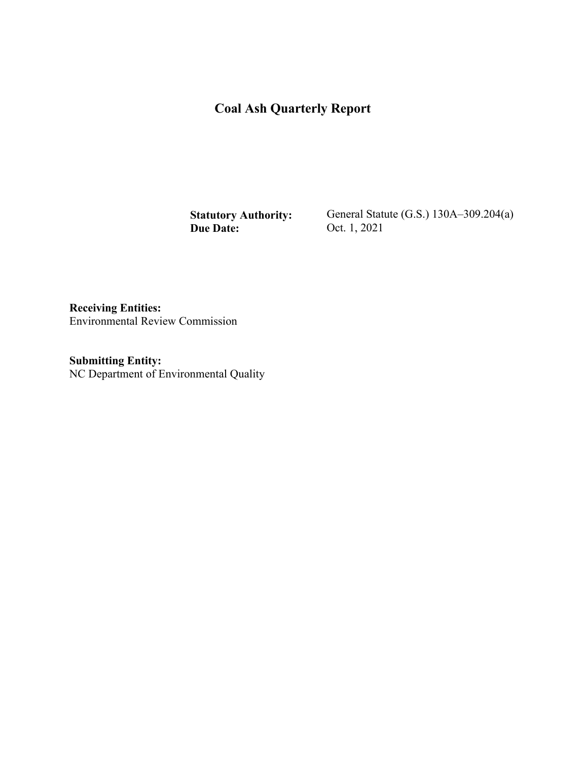# **Coal Ash Quarterly Report**

**Statutory Authority: Due Date:** 

General Statute (G.S.) 130A–309.204(a) Oct. 1, 2021

**Receiving Entities:**  Environmental Review Commission

**Submitting Entity:**  NC Department of Environmental Quality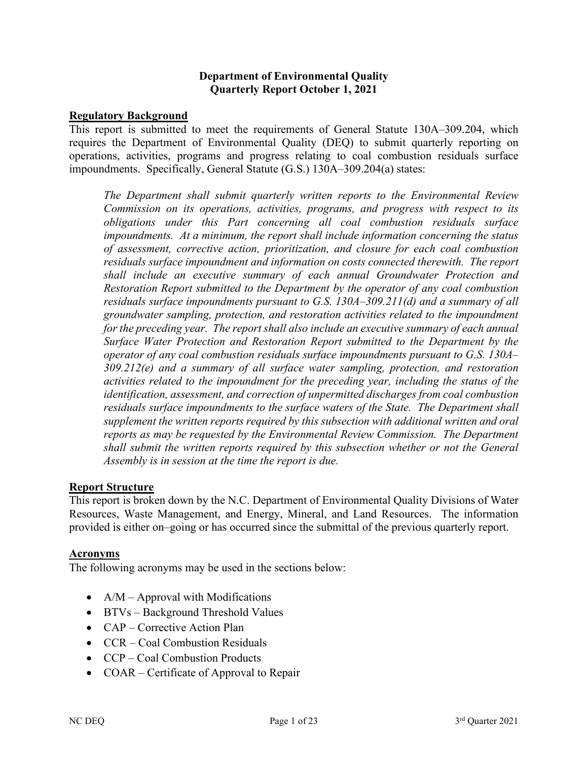#### **Department of Environmental Quality Quarterly Report October 1, 2021**

#### **Regulatory Background**

This report is submitted to meet the requirements of General Statute 130A–309.204, which requires the Department of Environmental Quality (DEQ) to submit quarterly reporting on operations, activities, programs and progress relating to coal combustion residuals surface impoundments. Specifically, General Statute (G.S.) 130A–309.204(a) states:

*The Department shall submit quarterly written reports to the Environmental Review Commission on its operations, activities, programs, and progress with respect to its obligations under this Part concerning all coal combustion residuals surface impoundments. At a minimum, the report shall include information concerning the status of assessment, corrective action, prioritization, and closure for each coal combustion residuals surface impoundment and information on costs connected therewith. The report shall include an executive summary of each annual Groundwater Protection and Restoration Report submitted to the Department by the operator of any coal combustion residuals surface impoundments pursuant to G.S. 130A–309.211(d) and a summary of all groundwater sampling, protection, and restoration activities related to the impoundment for the preceding year. The report shall also include an executive summary of each annual Surface Water Protection and Restoration Report submitted to the Department by the operator of any coal combustion residuals surface impoundments pursuant to G.S. 130A– 309.212(e) and a summary of all surface water sampling, protection, and restoration activities related to the impoundment for the preceding year, including the status of the identification, assessment, and correction of unpermitted discharges from coal combustion residuals surface impoundments to the surface waters of the State. The Department shall supplement the written reports required by this subsection with additional written and oral reports as may be requested by the Environmental Review Commission. The Department shall submit the written reports required by this subsection whether or not the General Assembly is in session at the time the report is due.*

#### **Report Structure**

This report is broken down by the N.C. Department of Environmental Quality Divisions of Water Resources, Waste Management, and Energy, Mineral, and Land Resources. The information provided is either on–going or has occurred since the submittal of the previous quarterly report.

#### **Acronyms**

The following acronyms may be used in the sections below:

- $A/M A$ pproval with Modifications
- BTVs Background Threshold Values
- CAP Corrective Action Plan
- CCR Coal Combustion Residuals
- CCP Coal Combustion Products
- COAR Certificate of Approval to Repair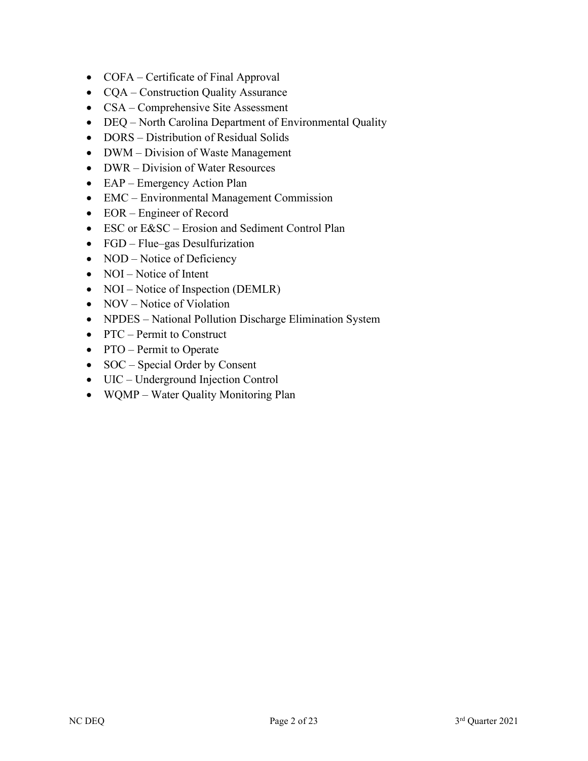- COFA Certificate of Final Approval
- CQA Construction Quality Assurance
- CSA Comprehensive Site Assessment
- DEQ North Carolina Department of Environmental Quality
- DORS Distribution of Residual Solids
- DWM Division of Waste Management
- DWR Division of Water Resources
- EAP Emergency Action Plan
- EMC Environmental Management Commission
- EOR Engineer of Record
- ESC or E&SC Erosion and Sediment Control Plan
- FGD Flue–gas Desulfurization
- NOD Notice of Deficiency
- NOI Notice of Intent
- NOI Notice of Inspection (DEMLR)
- NOV Notice of Violation
- NPDES National Pollution Discharge Elimination System
- PTC Permit to Construct
- PTO Permit to Operate
- SOC Special Order by Consent
- UIC Underground Injection Control
- WQMP Water Quality Monitoring Plan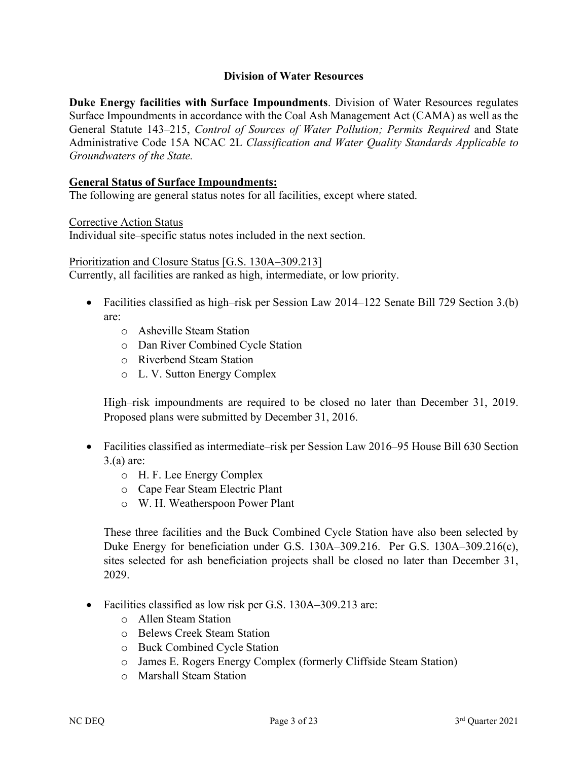#### **Division of Water Resources**

**Duke Energy facilities with Surface Impoundments**. Division of Water Resources regulates Surface Impoundments in accordance with the Coal Ash Management Act (CAMA) as well as the General Statute 143–215, *Control of Sources of Water Pollution; Permits Required* and State Administrative Code 15A NCAC 2L *Classification and Water Quality Standards Applicable to Groundwaters of the State.*

#### **General Status of Surface Impoundments:**

The following are general status notes for all facilities, except where stated.

Corrective Action Status

Individual site–specific status notes included in the next section.

Prioritization and Closure Status [G.S. 130A–309.213] Currently, all facilities are ranked as high, intermediate, or low priority.

- Facilities classified as high–risk per Session Law 2014–122 Senate Bill 729 Section 3.(b) are:
	- o Asheville Steam Station
	- o Dan River Combined Cycle Station
	- o Riverbend Steam Station
	- o L. V. Sutton Energy Complex

High–risk impoundments are required to be closed no later than December 31, 2019. Proposed plans were submitted by December 31, 2016.

- Facilities classified as intermediate–risk per Session Law 2016–95 House Bill 630 Section 3.(a) are:
	- o H. F. Lee Energy Complex
	- o Cape Fear Steam Electric Plant
	- o W. H. Weatherspoon Power Plant

These three facilities and the Buck Combined Cycle Station have also been selected by Duke Energy for beneficiation under G.S. 130A–309.216. Per G.S. 130A–309.216(c), sites selected for ash beneficiation projects shall be closed no later than December 31, 2029.

- Facilities classified as low risk per G.S. 130A–309.213 are:
	- o Allen Steam Station
	- o Belews Creek Steam Station
	- o Buck Combined Cycle Station
	- o James E. Rogers Energy Complex (formerly Cliffside Steam Station)
	- o Marshall Steam Station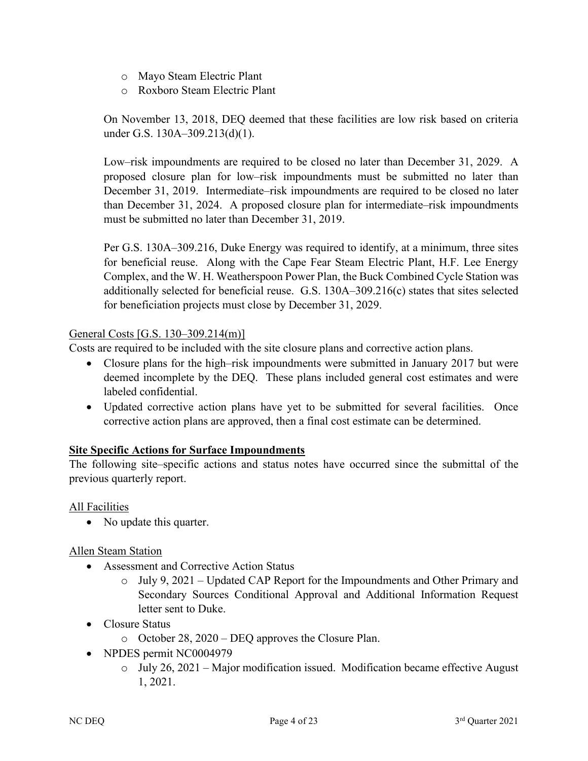- o Mayo Steam Electric Plant
- o Roxboro Steam Electric Plant

On November 13, 2018, DEQ deemed that these facilities are low risk based on criteria under G.S. 130A–309.213(d)(1).

Low–risk impoundments are required to be closed no later than December 31, 2029. A proposed closure plan for low–risk impoundments must be submitted no later than December 31, 2019. Intermediate–risk impoundments are required to be closed no later than December 31, 2024. A proposed closure plan for intermediate–risk impoundments must be submitted no later than December 31, 2019.

Per G.S. 130A–309.216, Duke Energy was required to identify, at a minimum, three sites for beneficial reuse. Along with the Cape Fear Steam Electric Plant, H.F. Lee Energy Complex, and the W. H. Weatherspoon Power Plan, the Buck Combined Cycle Station was additionally selected for beneficial reuse. G.S. 130A–309.216(c) states that sites selected for beneficiation projects must close by December 31, 2029.

### General Costs [G.S. 130–309.214(m)]

Costs are required to be included with the site closure plans and corrective action plans.

- Closure plans for the high–risk impoundments were submitted in January 2017 but were deemed incomplete by the DEQ. These plans included general cost estimates and were labeled confidential.
- Updated corrective action plans have yet to be submitted for several facilities. Once corrective action plans are approved, then a final cost estimate can be determined.

#### **Site Specific Actions for Surface Impoundments**

The following site–specific actions and status notes have occurred since the submittal of the previous quarterly report.

All Facilities

• No update this quarter.

Allen Steam Station

- Assessment and Corrective Action Status
	- o July 9, 2021 Updated CAP Report for the Impoundments and Other Primary and Secondary Sources Conditional Approval and Additional Information Request letter sent to Duke.
- Closure Status
	- o October 28, 2020 DEQ approves the Closure Plan.
- NPDES permit NC0004979
	- $\circ$  July 26, 2021 Major modification issued. Modification became effective August 1, 2021.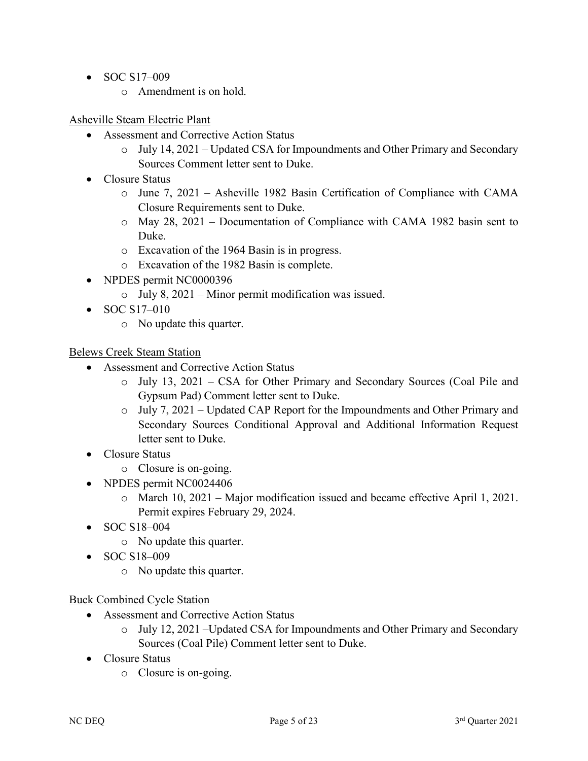- SOC S17-009
	- o Amendment is on hold.

## Asheville Steam Electric Plant

- Assessment and Corrective Action Status
	- o July 14, 2021 Updated CSA for Impoundments and Other Primary and Secondary Sources Comment letter sent to Duke.
- Closure Status
	- o June 7, 2021 Asheville 1982 Basin Certification of Compliance with CAMA Closure Requirements sent to Duke.
	- o May 28, 2021 Documentation of Compliance with CAMA 1982 basin sent to Duke.
	- o Excavation of the 1964 Basin is in progress.
	- o Excavation of the 1982 Basin is complete.
- NPDES permit NC0000396
	- o July 8, 2021 Minor permit modification was issued.
- SOC  $S17-010$ 
	- o No update this quarter.

### Belews Creek Steam Station

- Assessment and Corrective Action Status
	- o July 13, 2021 CSA for Other Primary and Secondary Sources (Coal Pile and Gypsum Pad) Comment letter sent to Duke.
	- o July 7, 2021 Updated CAP Report for the Impoundments and Other Primary and Secondary Sources Conditional Approval and Additional Information Request letter sent to Duke.
- Closure Status
	- o Closure is on-going.
- NPDES permit NC0024406
	- o March 10, 2021 Major modification issued and became effective April 1, 2021. Permit expires February 29, 2024.
- SOC S18-004
	- o No update this quarter.
- SOC S18-009
	- o No update this quarter.

# Buck Combined Cycle Station

- Assessment and Corrective Action Status
	- o July 12, 2021 –Updated CSA for Impoundments and Other Primary and Secondary Sources (Coal Pile) Comment letter sent to Duke.
- Closure Status
	- o Closure is on-going.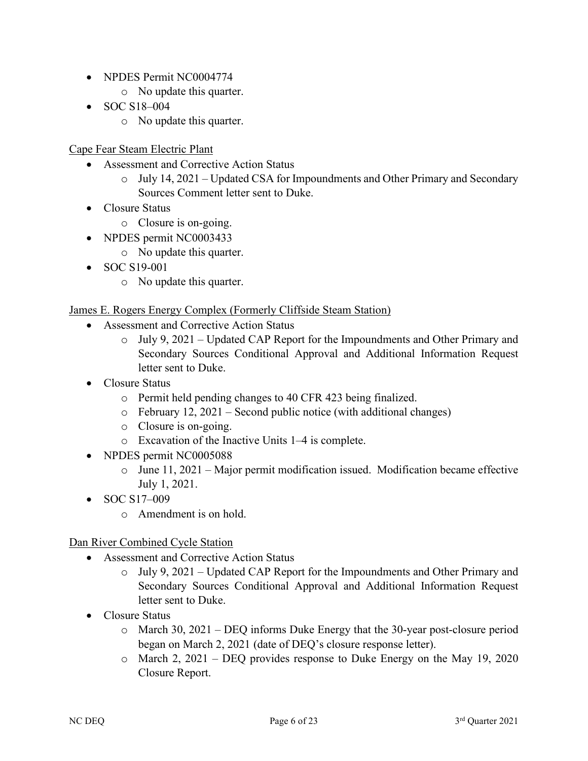- NPDES Permit NC0004774
	- o No update this quarter.
- SOC S18-004
	- o No update this quarter.

Cape Fear Steam Electric Plant

- Assessment and Corrective Action Status
	- o July 14, 2021 Updated CSA for Impoundments and Other Primary and Secondary Sources Comment letter sent to Duke.
- Closure Status
	- o Closure is on-going.
- NPDES permit NC0003433
	- o No update this quarter.
- SOC S19-001
	- o No update this quarter.

# James E. Rogers Energy Complex (Formerly Cliffside Steam Station)

- Assessment and Corrective Action Status
	- o July 9, 2021 Updated CAP Report for the Impoundments and Other Primary and Secondary Sources Conditional Approval and Additional Information Request letter sent to Duke.
- Closure Status
	- o Permit held pending changes to 40 CFR 423 being finalized.
	- $\circ$  February 12, 2021 Second public notice (with additional changes)
	- o Closure is on-going.
	- o Excavation of the Inactive Units 1–4 is complete.
- NPDES permit NC0005088
	- o June 11, 2021 Major permit modification issued. Modification became effective July 1, 2021.
- SOC S17-009
	- o Amendment is on hold.

# Dan River Combined Cycle Station

- Assessment and Corrective Action Status
	- o July 9, 2021 Updated CAP Report for the Impoundments and Other Primary and Secondary Sources Conditional Approval and Additional Information Request letter sent to Duke.
- Closure Status
	- o March 30, 2021 DEQ informs Duke Energy that the 30-year post-closure period began on March 2, 2021 (date of DEQ's closure response letter).
	- o March 2, 2021 DEQ provides response to Duke Energy on the May 19, 2020 Closure Report.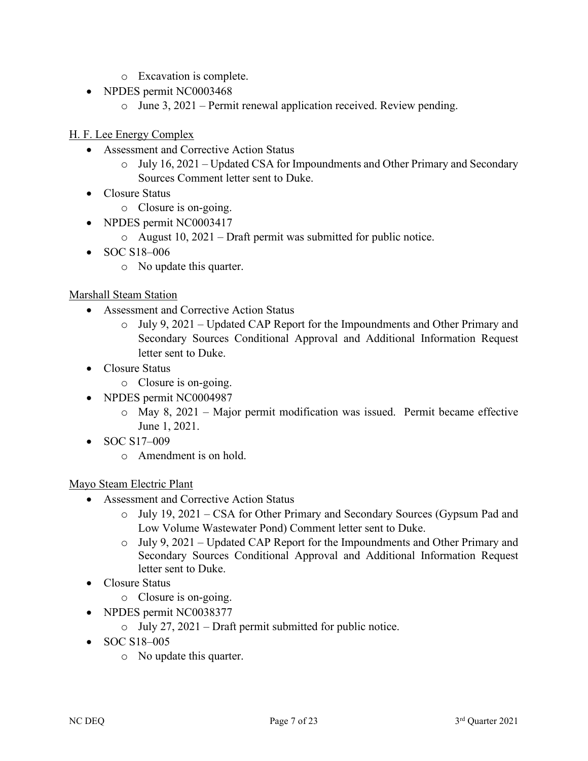- o Excavation is complete.
- NPDES permit NC0003468
	- o June 3, 2021 Permit renewal application received. Review pending.

## H. F. Lee Energy Complex

- Assessment and Corrective Action Status
	- o July 16, 2021 Updated CSA for Impoundments and Other Primary and Secondary Sources Comment letter sent to Duke.
- Closure Status
	- o Closure is on-going.
- NPDES permit NC0003417
	- o August 10, 2021 Draft permit was submitted for public notice.
- SOC S18-006
	- o No update this quarter.

#### Marshall Steam Station

- Assessment and Corrective Action Status
	- o July 9, 2021 Updated CAP Report for the Impoundments and Other Primary and Secondary Sources Conditional Approval and Additional Information Request letter sent to Duke.
- Closure Status
	- o Closure is on-going.
- NPDES permit NC0004987
	- o May 8, 2021 Major permit modification was issued. Permit became effective June 1, 2021.
- SOC S17-009
	- o Amendment is on hold.

#### Mayo Steam Electric Plant

- Assessment and Corrective Action Status
	- o July 19, 2021 CSA for Other Primary and Secondary Sources (Gypsum Pad and Low Volume Wastewater Pond) Comment letter sent to Duke.
	- $\circ$  July 9, 2021 Updated CAP Report for the Impoundments and Other Primary and Secondary Sources Conditional Approval and Additional Information Request letter sent to Duke.
- Closure Status
	- o Closure is on-going.
- NPDES permit NC0038377
	- $\circ$  July 27, 2021 Draft permit submitted for public notice.
- SOC S18-005
	- o No update this quarter.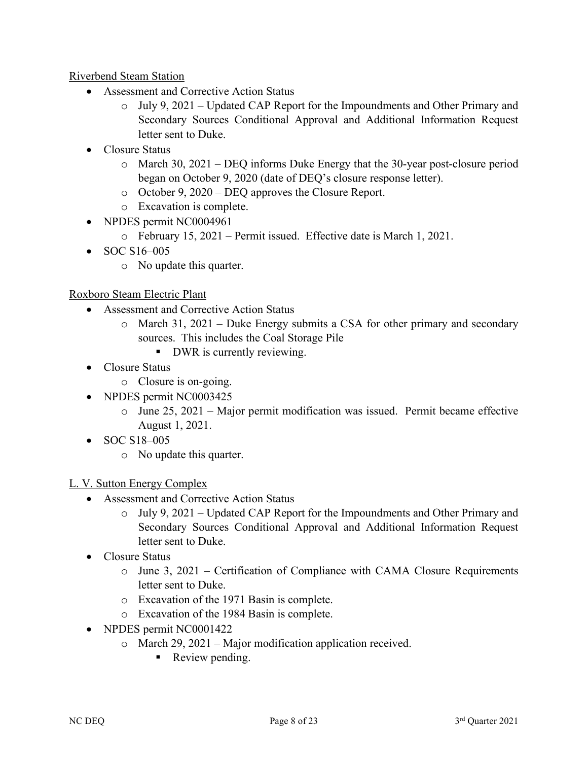# Riverbend Steam Station

- Assessment and Corrective Action Status
	- o July 9, 2021 Updated CAP Report for the Impoundments and Other Primary and Secondary Sources Conditional Approval and Additional Information Request letter sent to Duke.
- Closure Status
	- o March 30, 2021 DEQ informs Duke Energy that the 30-year post-closure period began on October 9, 2020 (date of DEQ's closure response letter).
	- o October 9, 2020 DEQ approves the Closure Report.
	- o Excavation is complete.
- NPDES permit NC0004961
	- o February 15, 2021 Permit issued. Effective date is March 1, 2021.
- SOC S16–005
	- o No update this quarter.

### Roxboro Steam Electric Plant

- Assessment and Corrective Action Status
	- o March 31, 2021 Duke Energy submits a CSA for other primary and secondary sources. This includes the Coal Storage Pile
		- DWR is currently reviewing.
- Closure Status
	- o Closure is on-going.
- NPDES permit NC0003425
	- o June 25, 2021 Major permit modification was issued. Permit became effective August 1, 2021.
- SOC S18-005
	- o No update this quarter.

# L. V. Sutton Energy Complex

- Assessment and Corrective Action Status
	- $\circ$  July 9, 2021 Updated CAP Report for the Impoundments and Other Primary and Secondary Sources Conditional Approval and Additional Information Request letter sent to Duke.
- Closure Status
	- o June 3, 2021 Certification of Compliance with CAMA Closure Requirements letter sent to Duke.
	- o Excavation of the 1971 Basin is complete.
	- o Excavation of the 1984 Basin is complete.
- NPDES permit NC0001422
	- o March 29, 2021 Major modification application received.
		- Review pending.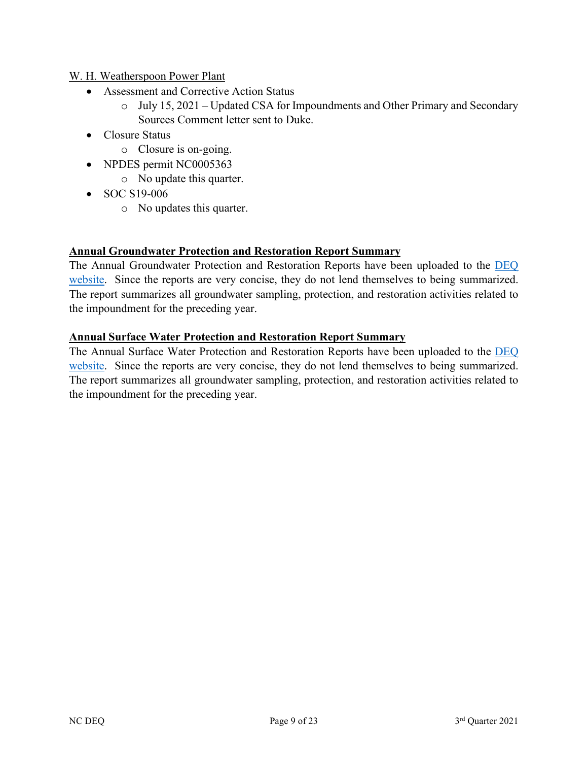### W. H. Weatherspoon Power Plant

- Assessment and Corrective Action Status
	- o July 15, 2021 Updated CSA for Impoundments and Other Primary and Secondary Sources Comment letter sent to Duke.
- Closure Status
	- o Closure is on-going.
- NPDES permit NC0005363
	- o No update this quarter.
- SOC S19-006
	- o No updates this quarter.

### **Annual Groundwater Protection and Restoration Report Summary**

The Annual Groundwater Protection and Restoration Reports have been uploaded to the [DEQ](https://edocs.deq.nc.gov/WaterResources/Browse.aspx?startid=221202&dbid=0&cr=1)  [website.](https://edocs.deq.nc.gov/WaterResources/Browse.aspx?startid=221202&dbid=0&cr=1) Since the reports are very concise, they do not lend themselves to being summarized. The report summarizes all groundwater sampling, protection, and restoration activities related to the impoundment for the preceding year.

### **Annual Surface Water Protection and Restoration Report Summary**

The Annual Surface Water Protection and Restoration Reports have been uploaded to the DEQ [website.](https://edocs.deq.nc.gov/WaterResources/Browse.aspx?startid=221202&dbid=0&cr=1) Since the reports are very concise, they do not lend themselves to being summarized. The report summarizes all groundwater sampling, protection, and restoration activities related to the impoundment for the preceding year.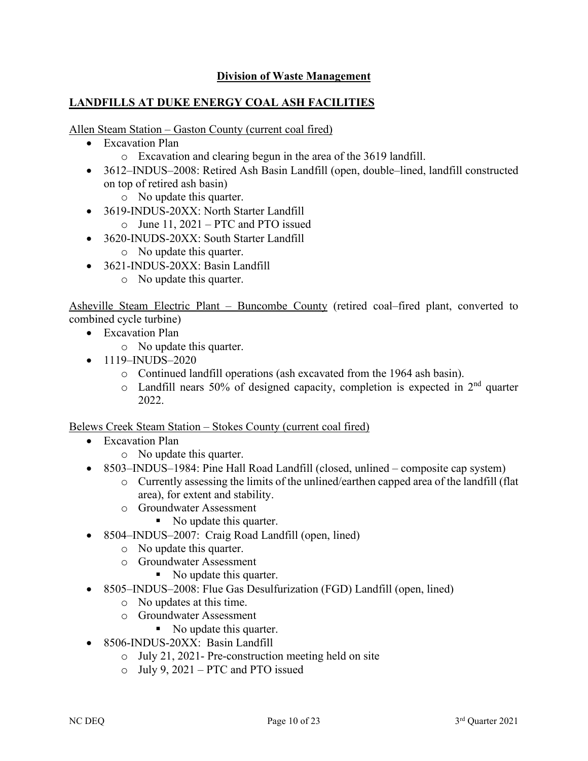# **Division of Waste Management**

# **LANDFILLS AT DUKE ENERGY COAL ASH FACILITIES**

Allen Steam Station – Gaston County (current coal fired)

- Excavation Plan
	- o Excavation and clearing begun in the area of the 3619 landfill.
- 3612–INDUS–2008: Retired Ash Basin Landfill (open, double–lined, landfill constructed on top of retired ash basin)
	- o No update this quarter.
- 3619-INDUS-20XX: North Starter Landfill
	- o June 11, 2021 PTC and PTO issued
- 3620-INUDS-20XX: South Starter Landfill
	- o No update this quarter.
- 3621-INDUS-20XX: Basin Landfill
	- o No update this quarter.

Asheville Steam Electric Plant – Buncombe County (retired coal–fired plant, converted to combined cycle turbine)

- Excavation Plan
	- o No update this quarter.
- $\bullet$  1119–INUDS–2020
	- o Continued landfill operations (ash excavated from the 1964 ash basin).
	- $\circ$  Landfill nears 50% of designed capacity, completion is expected in  $2<sup>nd</sup>$  quarter 2022.

Belews Creek Steam Station – Stokes County (current coal fired)

- Excavation Plan
	- o No update this quarter.
- 8503–INDUS–1984: Pine Hall Road Landfill (closed, unlined composite cap system)
	- o Currently assessing the limits of the unlined/earthen capped area of the landfill (flat area), for extent and stability.
	- o Groundwater Assessment
		- No update this quarter.
- 8504–INDUS–2007: Craig Road Landfill (open, lined)
	- o No update this quarter.
	- o Groundwater Assessment
		- No update this quarter.
- 8505–INDUS–2008: Flue Gas Desulfurization (FGD) Landfill (open, lined)
	- o No updates at this time.
	- o Groundwater Assessment
		- No update this quarter.
- 8506-INDUS-20XX: Basin Landfill
	- o July 21, 2021- Pre-construction meeting held on site
	- o July 9, 2021 PTC and PTO issued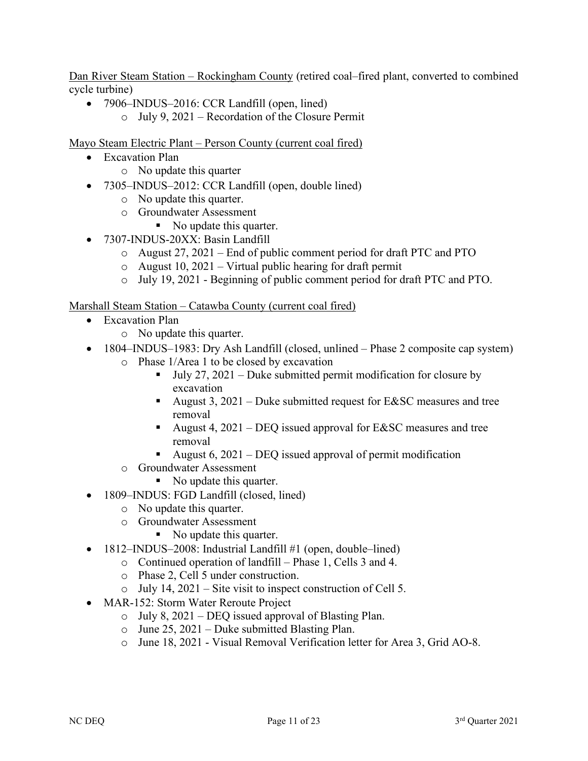Dan River Steam Station – Rockingham County (retired coal–fired plant, converted to combined cycle turbine)

- 7906–INDUS–2016: CCR Landfill (open, lined)
	- o July 9, 2021 Recordation of the Closure Permit

Mayo Steam Electric Plant – Person County (current coal fired)

- Excavation Plan
	- o No update this quarter
- 7305–INDUS–2012: CCR Landfill (open, double lined)
	- o No update this quarter.
	- o Groundwater Assessment
		- No update this quarter.
- 7307-INDUS-20XX: Basin Landfill
	- o August 27, 2021 End of public comment period for draft PTC and PTO
	- $\circ$  August 10, 2021 Virtual public hearing for draft permit
	- o July 19, 2021 Beginning of public comment period for draft PTC and PTO.

Marshall Steam Station – Catawba County (current coal fired)

- Excavation Plan
	- o No update this quarter.
- 1804–INDUS–1983: Dry Ash Landfill (closed, unlined Phase 2 composite cap system)
	- o Phase 1/Area 1 to be closed by excavation
		- $\blacksquare$  July 27, 2021 Duke submitted permit modification for closure by excavation
		- August 3,  $2021$  Duke submitted request for E&SC measures and tree removal
		- August 4,  $2021 DEQ$  issued approval for E&SC measures and tree removal
		- August 6,  $2021 DEQ$  issued approval of permit modification
	- o Groundwater Assessment
		- No update this quarter.
- 1809–INDUS: FGD Landfill (closed, lined)
	- o No update this quarter.
	- o Groundwater Assessment
		- No update this quarter.
- 1812–INDUS–2008: Industrial Landfill #1 (open, double–lined)
	- o Continued operation of landfill Phase 1, Cells 3 and 4.
	- o Phase 2, Cell 5 under construction.
	- o July 14, 2021 Site visit to inspect construction of Cell 5.
- MAR-152: Storm Water Reroute Project
	- o July 8, 2021 DEQ issued approval of Blasting Plan.
	- o June 25, 2021 Duke submitted Blasting Plan.
	- o June 18, 2021 Visual Removal Verification letter for Area 3, Grid AO-8.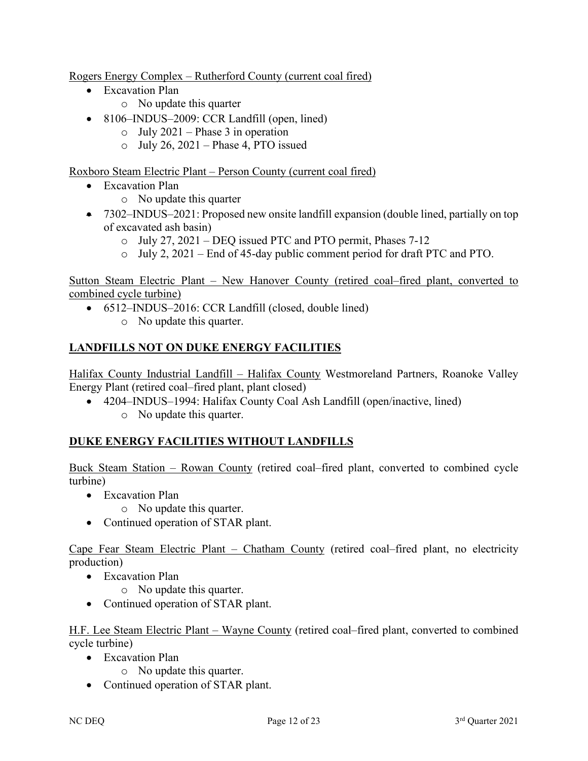Rogers Energy Complex – Rutherford County (current coal fired)

- Excavation Plan
	- o No update this quarter
- 8106–INDUS–2009: CCR Landfill (open, lined)
	- $\circ$  July 2021 Phase 3 in operation
	- $\circ$  July 26, 2021 Phase 4, PTO issued

Roxboro Steam Electric Plant – Person County (current coal fired)

- Excavation Plan
	- o No update this quarter
- 7302–INDUS–2021: Proposed new onsite landfill expansion (double lined, partially on top of excavated ash basin)
	- o July 27, 2021 DEQ issued PTC and PTO permit, Phases 7-12
	- o July 2, 2021 End of 45-day public comment period for draft PTC and PTO.

Sutton Steam Electric Plant – New Hanover County (retired coal–fired plant, converted to combined cycle turbine)

- 6512–INDUS–2016: CCR Landfill (closed, double lined)
	- o No update this quarter.

# **LANDFILLS NOT ON DUKE ENERGY FACILITIES**

Halifax County Industrial Landfill – Halifax County Westmoreland Partners, Roanoke Valley Energy Plant (retired coal–fired plant, plant closed)

- 4204–INDUS–1994: Halifax County Coal Ash Landfill (open/inactive, lined)
	- o No update this quarter.

# **DUKE ENERGY FACILITIES WITHOUT LANDFILLS**

Buck Steam Station – Rowan County (retired coal–fired plant, converted to combined cycle turbine)

- Excavation Plan
	- o No update this quarter.
- Continued operation of STAR plant.

Cape Fear Steam Electric Plant – Chatham County (retired coal–fired plant, no electricity production)

- Excavation Plan
	- o No update this quarter.
- Continued operation of STAR plant.

H.F. Lee Steam Electric Plant – Wayne County (retired coal–fired plant, converted to combined cycle turbine)

- Excavation Plan
	- o No update this quarter.
- Continued operation of STAR plant.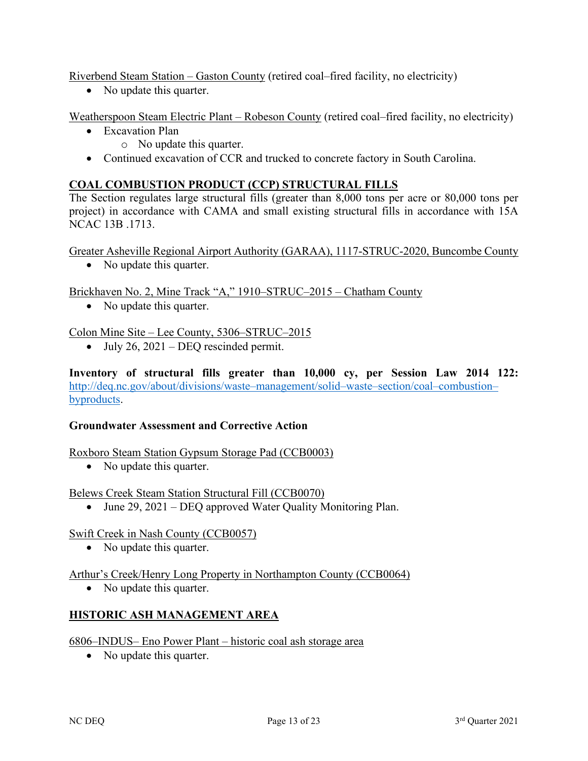Riverbend Steam Station – Gaston County (retired coal–fired facility, no electricity)

• No update this quarter.

Weatherspoon Steam Electric Plant – Robeson County (retired coal–fired facility, no electricity)

- Excavation Plan
	- o No update this quarter.
- Continued excavation of CCR and trucked to concrete factory in South Carolina.

# **COAL COMBUSTION PRODUCT (CCP) STRUCTURAL FILLS**

The Section regulates large structural fills (greater than 8,000 tons per acre or 80,000 tons per project) in accordance with CAMA and small existing structural fills in accordance with 15A NCAC 13B .1713.

Greater Asheville Regional Airport Authority (GARAA), 1117-STRUC-2020, Buncombe County

• No update this quarter.

Brickhaven No. 2, Mine Track "A," 1910–STRUC–2015 – Chatham County

• No update this quarter.

### Colon Mine Site – Lee County, 5306–STRUC–2015

• July  $26$ ,  $2021 - DEQ$  rescinded permit.

**Inventory of structural fills greater than 10,000 cy, per Session Law 2014 122:** [http://deq.nc.gov/about/divisions/waste–management/solid–waste–section/coal–combustion–](http://deq.nc.gov/about/divisions/waste-management/solid-waste-section/coal-combustion-byproducts) [byproducts.](http://deq.nc.gov/about/divisions/waste-management/solid-waste-section/coal-combustion-byproducts)

#### **Groundwater Assessment and Corrective Action**

#### Roxboro Steam Station Gypsum Storage Pad (CCB0003)

• No update this quarter.

Belews Creek Steam Station Structural Fill (CCB0070)

• June 29, 2021 – DEQ approved Water Quality Monitoring Plan.

#### Swift Creek in Nash County (CCB0057)

• No update this quarter.

Arthur's Creek/Henry Long Property in Northampton County (CCB0064)

• No update this quarter.

# **HISTORIC ASH MANAGEMENT AREA**

#### 6806–INDUS– Eno Power Plant – historic coal ash storage area

• No update this quarter.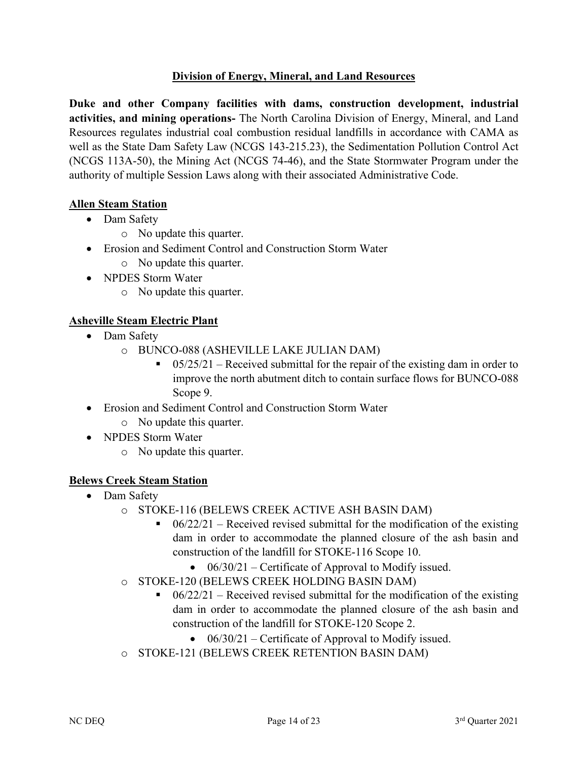# **Division of Energy, Mineral, and Land Resources**

**Duke and other Company facilities with dams, construction development, industrial activities, and mining operations-** The North Carolina Division of Energy, Mineral, and Land Resources regulates industrial coal combustion residual landfills in accordance with CAMA as well as the State Dam Safety Law (NCGS 143-215.23), the Sedimentation Pollution Control Act (NCGS 113A-50), the Mining Act (NCGS 74-46), and the State Stormwater Program under the authority of multiple Session Laws along with their associated Administrative Code.

### **Allen Steam Station**

- Dam Safety
	- o No update this quarter.
- Erosion and Sediment Control and Construction Storm Water
	- o No update this quarter.
- NPDES Storm Water
	- o No update this quarter.

# **Asheville Steam Electric Plant**

- Dam Safety
	- o BUNCO-088 (ASHEVILLE LAKE JULIAN DAM)
		- $\blacksquare$  05/25/21 Received submittal for the repair of the existing dam in order to improve the north abutment ditch to contain surface flows for BUNCO-088 Scope 9.
- Erosion and Sediment Control and Construction Storm Water
	- o No update this quarter.
- NPDES Storm Water
	- o No update this quarter.

# **Belews Creek Steam Station**

- Dam Safety
	- o STOKE-116 (BELEWS CREEK ACTIVE ASH BASIN DAM)<br>■ 06/22/21 = Received revised submittal for the modificat
		- $06/22/21$  Received revised submittal for the modification of the existing dam in order to accommodate the planned closure of the ash basin and construction of the landfill for STOKE-116 Scope 10.
			- $06/30/21$  Certificate of Approval to Modify issued.
	- o STOKE-120 (BELEWS CREEK HOLDING BASIN DAM)
		- $\bullet$  06/22/21 Received revised submittal for the modification of the existing dam in order to accommodate the planned closure of the ash basin and construction of the landfill for STOKE-120 Scope 2.
			- 06/30/21 Certificate of Approval to Modify issued.
	- o STOKE-121 (BELEWS CREEK RETENTION BASIN DAM)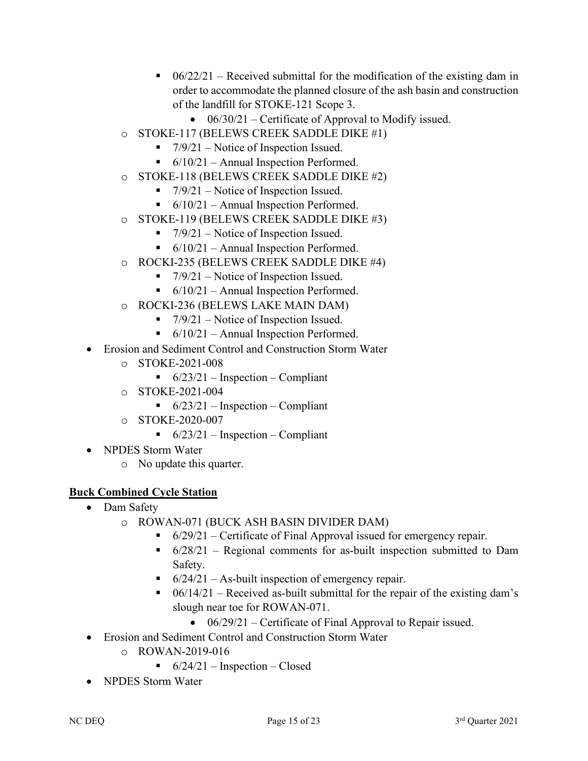- $\bullet$  06/22/21 Received submittal for the modification of the existing dam in order to accommodate the planned closure of the ash basin and construction of the landfill for STOKE-121 Scope 3.
	- $06/30/21$  Certificate of Approval to Modify issued.
- o STOKE-117 (BELEWS CREEK SADDLE DIKE #1)
	- $\blacksquare$  7/9/21 Notice of Inspection Issued.
	- $\bullet$  6/10/21 Annual Inspection Performed.
- o STOKE-118 (BELEWS CREEK SADDLE DIKE #2)
	- $\blacksquare$  7/9/21 Notice of Inspection Issued.
	- $\bullet$  6/10/21 Annual Inspection Performed.
- o STOKE-119 (BELEWS CREEK SADDLE DIKE #3)
	- $\blacksquare$  7/9/21 Notice of Inspection Issued.
	- $\bullet$  6/10/21 Annual Inspection Performed.
- o ROCKI-235 (BELEWS CREEK SADDLE DIKE #4)
	- $\blacksquare$  7/9/21 Notice of Inspection Issued.
	- $\bullet$  6/10/21 Annual Inspection Performed.
- o ROCKI-236 (BELEWS LAKE MAIN DAM)
	- $\blacksquare$  7/9/21 Notice of Inspection Issued.
	- $\bullet$  6/10/21 Annual Inspection Performed.
- Erosion and Sediment Control and Construction Storm Water
	- o STOKE-2021-008
		- $\bullet$  6/23/21 Inspection Compliant
	- o STOKE-2021-004
		- $\bullet$  6/23/21 Inspection Compliant
	- o STOKE-2020-007
		- $\bullet$  6/23/21 Inspection Compliant
- NPDES Storm Water
	- o No update this quarter.

# **Buck Combined Cycle Station**

- Dam Safety
	- o ROWAN-071 (BUCK ASH BASIN DIVIDER DAM)
		- $\bullet$  6/29/21 Certificate of Final Approval issued for emergency repair.
		- $\bullet$  6/28/21 Regional comments for as-built inspection submitted to Dam Safety.
		- $\bullet$  6/24/21 As-built inspection of emergency repair.
		- $\bullet$  06/14/21 Received as-built submittal for the repair of the existing dam's slough near toe for ROWAN-071.
			- 06/29/21 Certificate of Final Approval to Repair issued.
- Erosion and Sediment Control and Construction Storm Water
	- o ROWAN-2019-016
		- $\bullet$  6/24/21 Inspection Closed
- NPDES Storm Water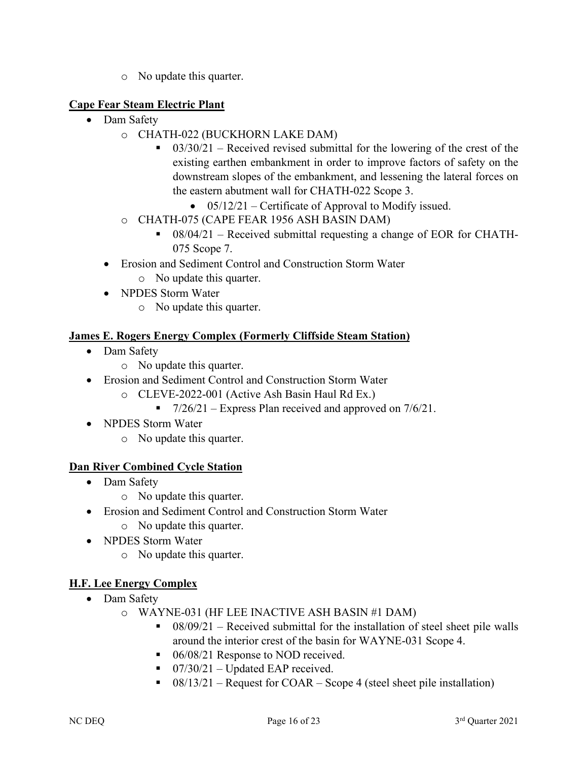o No update this quarter.

# **Cape Fear Steam Electric Plant**

- Dam Safety
	- o CHATH-022 (BUCKHORN LAKE DAM)
		- $\bullet$  03/30/21 Received revised submittal for the lowering of the crest of the existing earthen embankment in order to improve factors of safety on the downstream slopes of the embankment, and lessening the lateral forces on the eastern abutment wall for CHATH-022 Scope 3.
			- 05/12/21 Certificate of Approval to Modify issued.
	- o CHATH-075 (CAPE FEAR 1956 ASH BASIN DAM)
		- $\bullet$  08/04/21 Received submittal requesting a change of EOR for CHATH-075 Scope 7.
	- Erosion and Sediment Control and Construction Storm Water
		- o No update this quarter.
	- NPDES Storm Water
		- o No update this quarter.

# **James E. Rogers Energy Complex (Formerly Cliffside Steam Station)**

- Dam Safety
	- o No update this quarter.
- Erosion and Sediment Control and Construction Storm Water
	- o CLEVE-2022-001 (Active Ash Basin Haul Rd Ex.)
		- $\blacksquare$  7/26/21 Express Plan received and approved on 7/6/21.
- NPDES Storm Water
	- o No update this quarter.

# **Dan River Combined Cycle Station**

- Dam Safety
	- o No update this quarter.
- Erosion and Sediment Control and Construction Storm Water
	- o No update this quarter.
- NPDES Storm Water
	- o No update this quarter.

# **H.F. Lee Energy Complex**

- Dam Safety
	- o WAYNE-031 (HF LEE INACTIVE ASH BASIN #1 DAM)
		- $\bullet$  08/09/21 Received submittal for the installation of steel sheet pile walls around the interior crest of the basin for WAYNE-031 Scope 4.
		- 06/08/21 Response to NOD received.
		- $\blacksquare$  07/30/21 Updated EAP received.
		- $\bullet$  08/13/21 Request for COAR Scope 4 (steel sheet pile installation)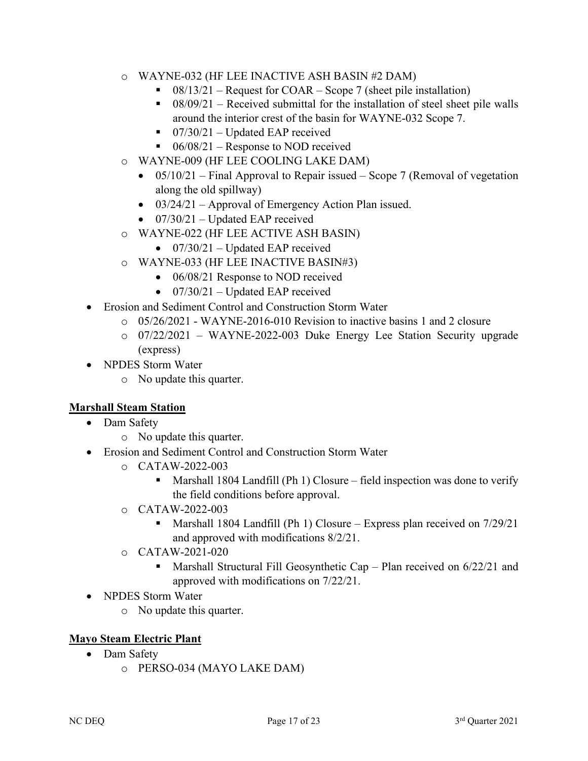- o WAYNE-032 (HF LEE INACTIVE ASH BASIN #2 DAM)
	- $\bullet$  08/13/21 Request for COAR Scope 7 (sheet pile installation)
	- $\bullet$  08/09/21 Received submittal for the installation of steel sheet pile walls around the interior crest of the basin for WAYNE-032 Scope 7.
	- $\blacksquare$  07/30/21 Updated EAP received
	- $\blacksquare$  06/08/21 Response to NOD received
- o WAYNE-009 (HF LEE COOLING LAKE DAM)
	- 05/10/21 Final Approval to Repair issued Scope 7 (Removal of vegetation along the old spillway)
	- 03/24/21 Approval of Emergency Action Plan issued.
	- $07/30/21$  Updated EAP received
- o WAYNE-022 (HF LEE ACTIVE ASH BASIN)
	- $07/30/21$  Updated EAP received
- o WAYNE-033 (HF LEE INACTIVE BASIN#3)
	- 06/08/21 Response to NOD received
	- $07/30/21$  Updated EAP received
- Erosion and Sediment Control and Construction Storm Water
	- $\circ$  05/26/2021 WAYNE-2016-010 Revision to inactive basins 1 and 2 closure
	- o 07/22/2021 WAYNE-2022-003 Duke Energy Lee Station Security upgrade (express)
- NPDES Storm Water
	- o No update this quarter.

# **Marshall Steam Station**

- Dam Safety
	- o No update this quarter.
- Erosion and Sediment Control and Construction Storm Water
	- o CATAW-2022-003
		- **Marshall 1804 Landfill (Ph 1) Closure** field inspection was done to verify the field conditions before approval.
	- o CATAW-2022-003
		- Marshall 1804 Landfill (Ph 1) Closure Express plan received on  $7/29/21$ and approved with modifications 8/2/21.
	- o CATAW-2021-020
		- Marshall Structural Fill Geosynthetic Cap Plan received on 6/22/21 and approved with modifications on 7/22/21.
- NPDES Storm Water
	- o No update this quarter.

# **Mayo Steam Electric Plant**

- Dam Safety
	- o PERSO-034 (MAYO LAKE DAM)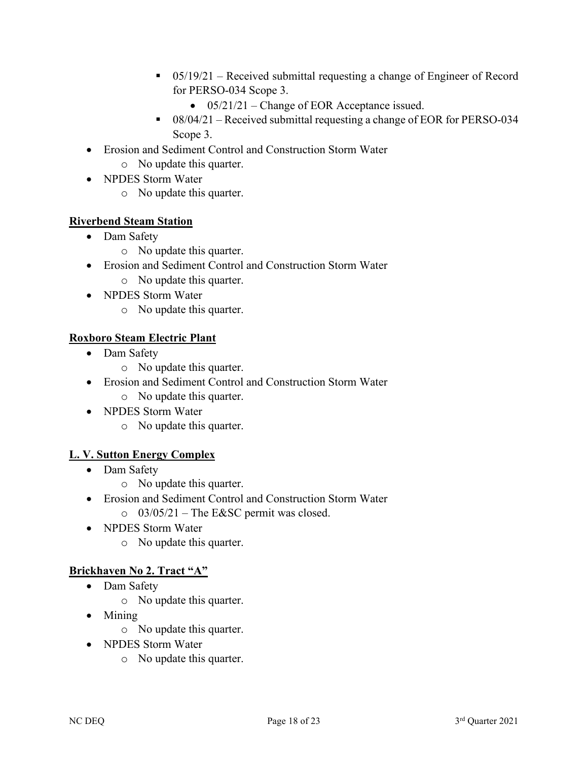- $\bullet$  05/19/21 Received submittal requesting a change of Engineer of Record for PERSO-034 Scope 3.
	- 05/21/21 Change of EOR Acceptance issued.
- 08/04/21 Received submittal requesting a change of EOR for PERSO-034 Scope 3.
- Erosion and Sediment Control and Construction Storm Water
	- o No update this quarter.
- NPDES Storm Water
	- o No update this quarter.

# **Riverbend Steam Station**

- Dam Safety
	- o No update this quarter.
- Erosion and Sediment Control and Construction Storm Water
	- o No update this quarter.
- NPDES Storm Water
	- o No update this quarter.

# **Roxboro Steam Electric Plant**

- Dam Safety
	- o No update this quarter.
- Erosion and Sediment Control and Construction Storm Water
	- o No update this quarter.
- NPDES Storm Water
	- o No update this quarter.

# **L. V. Sutton Energy Complex**

- Dam Safety
	- o No update this quarter.
- Erosion and Sediment Control and Construction Storm Water
	- $\degree$  03/05/21 The E&SC permit was closed.
- NPDES Storm Water
	- o No update this quarter.

# **Brickhaven No 2. Tract "A"**

- Dam Safety
	- o No update this quarter.
- Mining
	- o No update this quarter.
- NPDES Storm Water
	- o No update this quarter.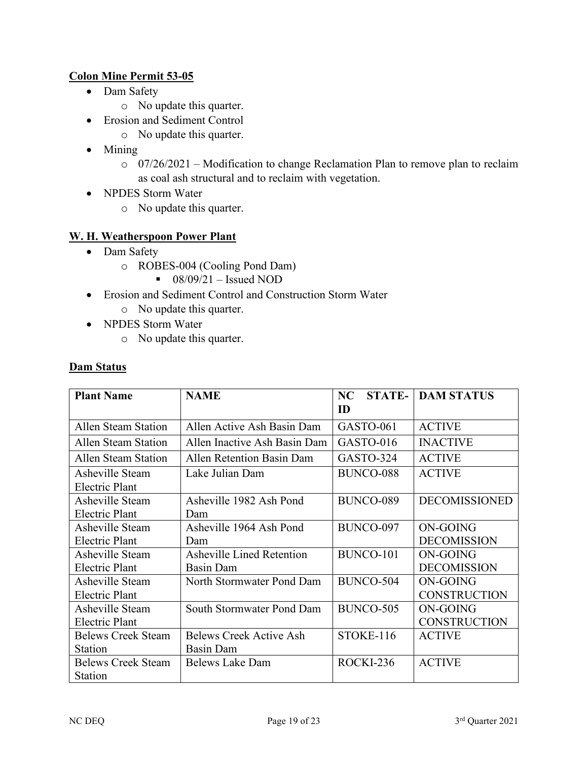# **Colon Mine Permit 53-05**

- Dam Safety
	- o No update this quarter.
- Erosion and Sediment Control
	- o No update this quarter.
- Mining
	- o 07/26/2021 Modification to change Reclamation Plan to remove plan to reclaim as coal ash structural and to reclaim with vegetation.
- NPDES Storm Water
	- o No update this quarter.

### **W. H. Weatherspoon Power Plant**

- Dam Safety
	- o ROBES-004 (Cooling Pond Dam)
		- $\bullet$  08/09/21 Issued NOD
- Erosion and Sediment Control and Construction Storm Water
	- o No update this quarter.
- NPDES Storm Water
	- o No update this quarter.

#### **Dam Status**

| <b>Plant Name</b>         | <b>NAME</b>                      | <b>STATE-</b><br>NC | <b>DAM STATUS</b>    |
|---------------------------|----------------------------------|---------------------|----------------------|
|                           |                                  | ID                  |                      |
| Allen Steam Station       | Allen Active Ash Basin Dam       | GASTO-061           | <b>ACTIVE</b>        |
| Allen Steam Station       | Allen Inactive Ash Basin Dam     | GASTO-016           | <b>INACTIVE</b>      |
| Allen Steam Station       | Allen Retention Basin Dam        | GASTO-324           | <b>ACTIVE</b>        |
| Asheville Steam           | Lake Julian Dam                  | BUNCO-088           | <b>ACTIVE</b>        |
| Electric Plant            |                                  |                     |                      |
| Asheville Steam           | Asheville 1982 Ash Pond          | BUNCO-089           | <b>DECOMISSIONED</b> |
| <b>Electric Plant</b>     | Dam                              |                     |                      |
| Asheville Steam           | Asheville 1964 Ash Pond          | BUNCO-097           | ON-GOING             |
| Electric Plant            | Dam                              |                     | <b>DECOMISSION</b>   |
| Asheville Steam           | <b>Asheville Lined Retention</b> | BUNCO-101           | ON-GOING             |
| Electric Plant            | Basin Dam                        |                     | <b>DECOMISSION</b>   |
| Asheville Steam           | North Stormwater Pond Dam        | BUNCO-504           | ON-GOING             |
| Electric Plant            |                                  |                     | <b>CONSTRUCTION</b>  |
| Asheville Steam           | South Stormwater Pond Dam        | BUNCO-505           | ON-GOING             |
| Electric Plant            |                                  |                     | <b>CONSTRUCTION</b>  |
| <b>Belews Creek Steam</b> | <b>Belews Creek Active Ash</b>   | STOKE-116           | <b>ACTIVE</b>        |
| <b>Station</b>            | Basin Dam                        |                     |                      |
| <b>Belews Creek Steam</b> | Belews Lake Dam                  | ROCKI-236           | <b>ACTIVE</b>        |
| Station                   |                                  |                     |                      |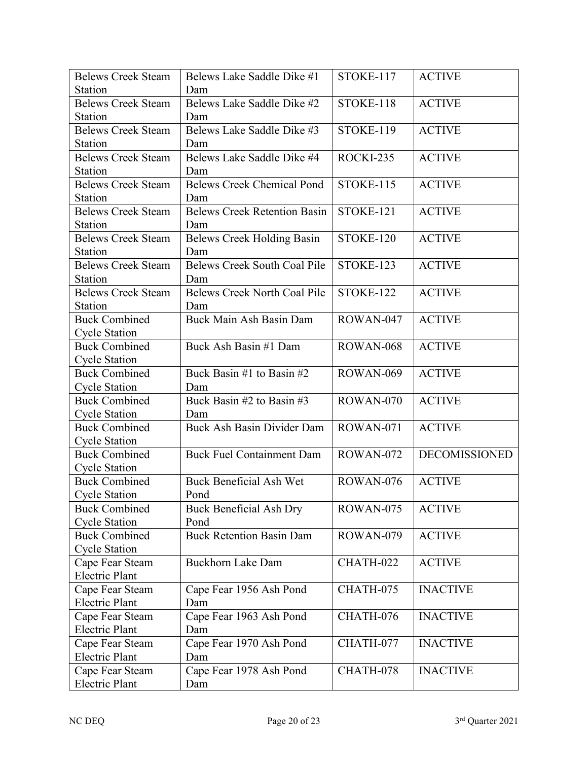| <b>Belews Creek Steam</b> | Belews Lake Saddle Dike #1          | STOKE-117 | <b>ACTIVE</b>        |
|---------------------------|-------------------------------------|-----------|----------------------|
| Station                   | Dam                                 |           |                      |
| <b>Belews Creek Steam</b> | Belews Lake Saddle Dike #2          | STOKE-118 | <b>ACTIVE</b>        |
| Station                   | Dam                                 |           |                      |
| <b>Belews Creek Steam</b> | Belews Lake Saddle Dike #3          | STOKE-119 | <b>ACTIVE</b>        |
| <b>Station</b>            | Dam                                 |           |                      |
| <b>Belews Creek Steam</b> | Belews Lake Saddle Dike #4          | ROCKI-235 | <b>ACTIVE</b>        |
| <b>Station</b>            | Dam                                 |           |                      |
| <b>Belews Creek Steam</b> | <b>Belews Creek Chemical Pond</b>   | STOKE-115 | <b>ACTIVE</b>        |
| Station                   | Dam                                 |           |                      |
| <b>Belews Creek Steam</b> | <b>Belews Creek Retention Basin</b> | STOKE-121 | <b>ACTIVE</b>        |
| Station                   | Dam                                 |           |                      |
| <b>Belews Creek Steam</b> | <b>Belews Creek Holding Basin</b>   | STOKE-120 | <b>ACTIVE</b>        |
| Station                   | Dam                                 |           |                      |
| <b>Belews Creek Steam</b> | <b>Belews Creek South Coal Pile</b> | STOKE-123 | <b>ACTIVE</b>        |
| Station                   | Dam                                 |           |                      |
| <b>Belews Creek Steam</b> | <b>Belews Creek North Coal Pile</b> | STOKE-122 | <b>ACTIVE</b>        |
| Station                   | Dam                                 |           |                      |
| <b>Buck Combined</b>      | Buck Main Ash Basin Dam             | ROWAN-047 | <b>ACTIVE</b>        |
| <b>Cycle Station</b>      |                                     |           |                      |
| <b>Buck Combined</b>      | Buck Ash Basin #1 Dam               | ROWAN-068 | <b>ACTIVE</b>        |
| <b>Cycle Station</b>      |                                     |           |                      |
| <b>Buck Combined</b>      | Buck Basin #1 to Basin #2           | ROWAN-069 | <b>ACTIVE</b>        |
| <b>Cycle Station</b>      | Dam                                 |           |                      |
| <b>Buck Combined</b>      | Buck Basin #2 to Basin #3           | ROWAN-070 | <b>ACTIVE</b>        |
| <b>Cycle Station</b>      | Dam                                 |           |                      |
| <b>Buck Combined</b>      | <b>Buck Ash Basin Divider Dam</b>   | ROWAN-071 | <b>ACTIVE</b>        |
| <b>Cycle Station</b>      |                                     |           |                      |
| <b>Buck Combined</b>      | <b>Buck Fuel Containment Dam</b>    | ROWAN-072 | <b>DECOMISSIONED</b> |
| <b>Cycle Station</b>      |                                     |           |                      |
| <b>Buck Combined</b>      | <b>Buck Beneficial Ash Wet</b>      | ROWAN-076 | <b>ACTIVE</b>        |
| <b>Cycle Station</b>      | Pond                                |           |                      |
| <b>Buck Combined</b>      | <b>Buck Beneficial Ash Dry</b>      | ROWAN-075 | <b>ACTIVE</b>        |
| <b>Cycle Station</b>      | Pond                                |           |                      |
| <b>Buck Combined</b>      | <b>Buck Retention Basin Dam</b>     | ROWAN-079 | <b>ACTIVE</b>        |
| <b>Cycle Station</b>      |                                     |           |                      |
| Cape Fear Steam           | <b>Buckhorn Lake Dam</b>            | CHATH-022 | <b>ACTIVE</b>        |
| <b>Electric Plant</b>     |                                     |           |                      |
| Cape Fear Steam           | Cape Fear 1956 Ash Pond             | CHATH-075 | <b>INACTIVE</b>      |
| <b>Electric Plant</b>     | Dam                                 |           |                      |
| Cape Fear Steam           | Cape Fear 1963 Ash Pond             | CHATH-076 | <b>INACTIVE</b>      |
| <b>Electric Plant</b>     | Dam                                 |           |                      |
| Cape Fear Steam           | Cape Fear 1970 Ash Pond             | CHATH-077 | <b>INACTIVE</b>      |
| <b>Electric Plant</b>     | Dam                                 |           |                      |
| Cape Fear Steam           | Cape Fear 1978 Ash Pond             | CHATH-078 | <b>INACTIVE</b>      |
| <b>Electric Plant</b>     | Dam                                 |           |                      |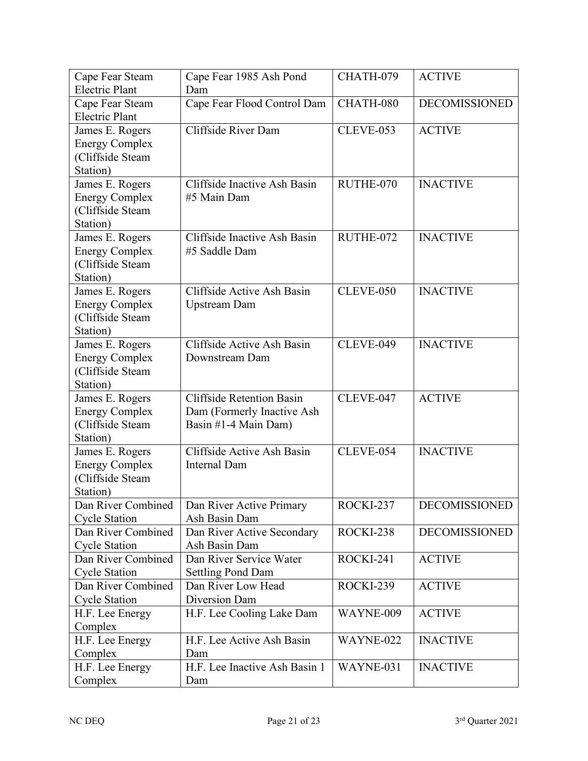| Cape Fear Steam       | Cape Fear 1985 Ash Pond          | CHATH-079        | <b>ACTIVE</b>        |
|-----------------------|----------------------------------|------------------|----------------------|
| <b>Electric Plant</b> | Dam                              |                  |                      |
| Cape Fear Steam       | Cape Fear Flood Control Dam      | CHATH-080        | <b>DECOMISSIONED</b> |
| <b>Electric Plant</b> |                                  |                  |                      |
| James E. Rogers       | Cliffside River Dam              | <b>CLEVE-053</b> | <b>ACTIVE</b>        |
| <b>Energy Complex</b> |                                  |                  |                      |
| (Cliffside Steam      |                                  |                  |                      |
| Station)              |                                  |                  |                      |
| James E. Rogers       | Cliffside Inactive Ash Basin     | RUTHE-070        | <b>INACTIVE</b>      |
| <b>Energy Complex</b> | #5 Main Dam                      |                  |                      |
| (Cliffside Steam      |                                  |                  |                      |
| Station)              |                                  |                  |                      |
| James E. Rogers       | Cliffside Inactive Ash Basin     | RUTHE-072        | <b>INACTIVE</b>      |
| <b>Energy Complex</b> | #5 Saddle Dam                    |                  |                      |
| (Cliffside Steam      |                                  |                  |                      |
| Station)              |                                  |                  |                      |
| James E. Rogers       | Cliffside Active Ash Basin       | CLEVE-050        | <b>INACTIVE</b>      |
| <b>Energy Complex</b> | <b>Upstream Dam</b>              |                  |                      |
| (Cliffside Steam      |                                  |                  |                      |
| Station)              |                                  |                  |                      |
| James E. Rogers       | Cliffside Active Ash Basin       | CLEVE-049        | <b>INACTIVE</b>      |
| <b>Energy Complex</b> | Downstream Dam                   |                  |                      |
| (Cliffside Steam      |                                  |                  |                      |
| Station)              |                                  |                  |                      |
| James E. Rogers       | <b>Cliffside Retention Basin</b> | CLEVE-047        | <b>ACTIVE</b>        |
| <b>Energy Complex</b> | Dam (Formerly Inactive Ash       |                  |                      |
| (Cliffside Steam      | Basin #1-4 Main Dam)             |                  |                      |
| Station)              |                                  |                  |                      |
| James E. Rogers       | Cliffside Active Ash Basin       | CLEVE-054        | <b>INACTIVE</b>      |
| <b>Energy Complex</b> | <b>Internal Dam</b>              |                  |                      |
| (Cliffside Steam      |                                  |                  |                      |
| Station)              |                                  |                  |                      |
| Dan River Combined    | Dan River Active Primary         | ROCKI-237        | <b>DECOMISSIONED</b> |
| <b>Cycle Station</b>  | Ash Basin Dam                    |                  |                      |
| Dan River Combined    | Dan River Active Secondary       | ROCKI-238        | DECOMISSIONED        |
| <b>Cycle Station</b>  | Ash Basin Dam                    |                  |                      |
| Dan River Combined    | Dan River Service Water          | ROCKI-241        | <b>ACTIVE</b>        |
| <b>Cycle Station</b>  | <b>Settling Pond Dam</b>         |                  |                      |
| Dan River Combined    | Dan River Low Head               | ROCKI-239        | <b>ACTIVE</b>        |
| <b>Cycle Station</b>  | Diversion Dam                    |                  |                      |
| H.F. Lee Energy       | H.F. Lee Cooling Lake Dam        | WAYNE-009        | <b>ACTIVE</b>        |
| Complex               |                                  |                  |                      |
| H.F. Lee Energy       | H.F. Lee Active Ash Basin        | WAYNE-022        | <b>INACTIVE</b>      |
| Complex               | Dam                              |                  |                      |
| H.F. Lee Energy       | H.F. Lee Inactive Ash Basin 1    | WAYNE-031        | <b>INACTIVE</b>      |
| Complex               | Dam                              |                  |                      |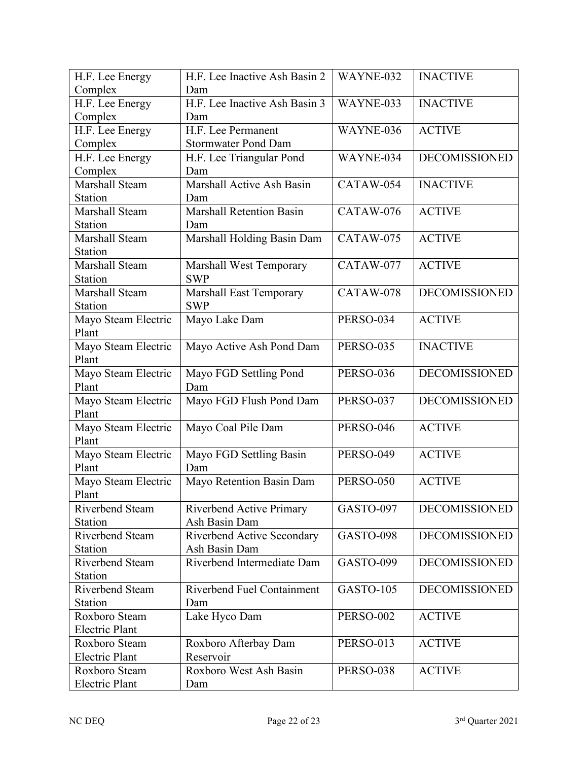| H.F. Lee Energy          | H.F. Lee Inactive Ash Basin 2     | WAYNE-032        | <b>INACTIVE</b>      |
|--------------------------|-----------------------------------|------------------|----------------------|
| Complex                  | Dam                               |                  |                      |
| H.F. Lee Energy          | H.F. Lee Inactive Ash Basin 3     | WAYNE-033        | <b>INACTIVE</b>      |
| Complex                  | Dam                               |                  |                      |
| H.F. Lee Energy          | H.F. Lee Permanent                | WAYNE-036        | <b>ACTIVE</b>        |
| Complex                  | <b>Stormwater Pond Dam</b>        |                  |                      |
| H.F. Lee Energy          | H.F. Lee Triangular Pond          | WAYNE-034        | <b>DECOMISSIONED</b> |
| Complex                  | Dam                               |                  |                      |
| Marshall Steam           | Marshall Active Ash Basin         | CATAW-054        | <b>INACTIVE</b>      |
| Station                  | Dam                               |                  |                      |
| Marshall Steam           | <b>Marshall Retention Basin</b>   | CATAW-076        | <b>ACTIVE</b>        |
| Station                  | Dam                               |                  |                      |
| Marshall Steam           | Marshall Holding Basin Dam        | CATAW-075        | <b>ACTIVE</b>        |
| Station                  |                                   |                  |                      |
| Marshall Steam           | <b>Marshall West Temporary</b>    | CATAW-077        | <b>ACTIVE</b>        |
| <b>Station</b>           | <b>SWP</b>                        |                  |                      |
| Marshall Steam           | <b>Marshall East Temporary</b>    | CATAW-078        | <b>DECOMISSIONED</b> |
| Station                  | <b>SWP</b>                        |                  |                      |
| Mayo Steam Electric      | Mayo Lake Dam                     | PERSO-034        | <b>ACTIVE</b>        |
| Plant                    |                                   |                  |                      |
| Mayo Steam Electric      | Mayo Active Ash Pond Dam          | <b>PERSO-035</b> | <b>INACTIVE</b>      |
| Plant                    |                                   |                  |                      |
| Mayo Steam Electric      | Mayo FGD Settling Pond            | <b>PERSO-036</b> | <b>DECOMISSIONED</b> |
| Plant                    | Dam                               |                  |                      |
| Mayo Steam Electric      | Mayo FGD Flush Pond Dam           | <b>PERSO-037</b> | <b>DECOMISSIONED</b> |
| Plant                    |                                   |                  |                      |
| Mayo Steam Electric      | Mayo Coal Pile Dam                | PERSO-046        | <b>ACTIVE</b>        |
| Plant                    |                                   |                  |                      |
| Mayo Steam Electric      | Mayo FGD Settling Basin           | <b>PERSO-049</b> | <b>ACTIVE</b>        |
| Plant                    | Dam                               |                  |                      |
| Mayo Steam Electric      | Mayo Retention Basin Dam          | <b>PERSO-050</b> | <b>ACTIVE</b>        |
| Plant                    |                                   |                  |                      |
| Riverbend Steam          | Riverbend Active Primary          | GASTO-097        | <b>DECOMISSIONED</b> |
| <b>Station</b>           | Ash Basin Dam                     |                  |                      |
| Riverbend Steam          | Riverbend Active Secondary        | GASTO-098        | <b>DECOMISSIONED</b> |
| Station                  | Ash Basin Dam                     |                  |                      |
| Riverbend Steam          | Riverbend Intermediate Dam        | GASTO-099        | <b>DECOMISSIONED</b> |
| Station                  |                                   |                  |                      |
| Riverbend Steam          | <b>Riverbend Fuel Containment</b> | GASTO-105        | DECOMISSIONED        |
|                          |                                   |                  |                      |
| Station<br>Roxboro Steam | Dam                               |                  | <b>ACTIVE</b>        |
|                          | Lake Hyco Dam                     | <b>PERSO-002</b> |                      |
| Electric Plant           |                                   | <b>PERSO-013</b> | <b>ACTIVE</b>        |
| Roxboro Steam            | Roxboro Afterbay Dam              |                  |                      |
| <b>Electric Plant</b>    | Reservoir                         |                  |                      |
| Roxboro Steam            | Roxboro West Ash Basin            | <b>PERSO-038</b> | <b>ACTIVE</b>        |
| Electric Plant           | Dam                               |                  |                      |